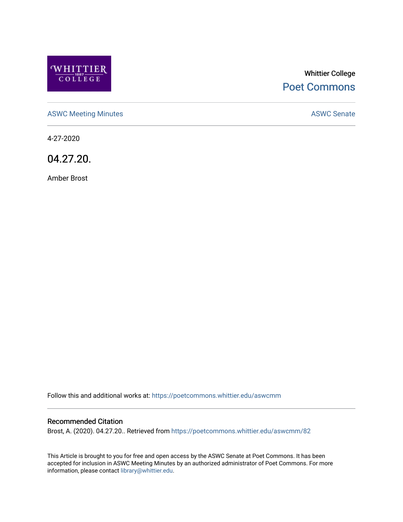

# Whittier College [Poet Commons](https://poetcommons.whittier.edu/)

[ASWC Meeting Minutes](https://poetcommons.whittier.edu/aswcmm) **ASWC Senate** 

4-27-2020

04.27.20.

Amber Brost

Follow this and additional works at: [https://poetcommons.whittier.edu/aswcmm](https://poetcommons.whittier.edu/aswcmm?utm_source=poetcommons.whittier.edu%2Faswcmm%2F82&utm_medium=PDF&utm_campaign=PDFCoverPages)

#### Recommended Citation

Brost, A. (2020). 04.27.20.. Retrieved from [https://poetcommons.whittier.edu/aswcmm/82](https://poetcommons.whittier.edu/aswcmm/82?utm_source=poetcommons.whittier.edu%2Faswcmm%2F82&utm_medium=PDF&utm_campaign=PDFCoverPages)

This Article is brought to you for free and open access by the ASWC Senate at Poet Commons. It has been accepted for inclusion in ASWC Meeting Minutes by an authorized administrator of Poet Commons. For more information, please contact [library@whittier.edu.](mailto:library@whittier.edu)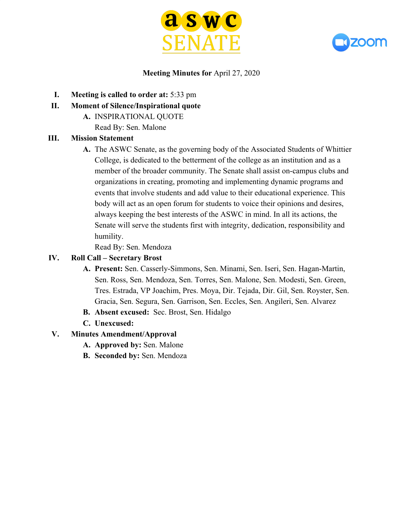



# **Meeting Minutes for** April 27, 2020

- **I. Meeting is called to order at:** 5:33 pm
- **II. Moment of Silence/Inspirational quote**
	- **A.** INSPIRATIONAL QUOTE
		- Read By: Sen. Malone

# **III. Mission Statement**

**A.** The ASWC Senate, as the governing body of the Associated Students of Whittier College, is dedicated to the betterment of the college as an institution and as a member of the broader community. The Senate shall assist on-campus clubs and organizations in creating, promoting and implementing dynamic programs and events that involve students and add value to their educational experience. This body will act as an open forum for students to voice their opinions and desires, always keeping the best interests of the ASWC in mind. In all its actions, the Senate will serve the students first with integrity, dedication, responsibility and humility.

Read By: Sen. Mendoza

# **IV. Roll Call – Secretary Brost**

- **A. Present:** Sen. Casserly-Simmons, Sen. Minami, Sen. Iseri, Sen. Hagan-Martin, Sen. Ross, Sen. Mendoza, Sen. Torres, Sen. Malone, Sen. Modesti, Sen. Green, Tres. Estrada, VP Joachim, Pres. Moya, Dir. Tejada, Dir. Gil, Sen. Royster, Sen. Gracia, Sen. Segura, Sen. Garrison, Sen. Eccles, Sen. Angileri, Sen. Alvarez
- **B. Absent excused:** Sec. Brost, Sen. Hidalgo
- **C. Unexcused:**

# **V. Minutes Amendment/Approval**

- **A. Approved by:** Sen. Malone
- **B. Seconded by:** Sen. Mendoza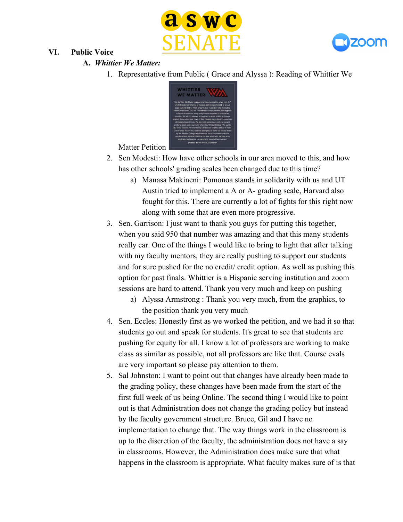



# **A.** *Whittier We Matter:*

**VI. Public Voice**

1. Representative from Public ( Grace and Alyssa ): Reading of Whittier We

| <b>WHITTIER</b>                                                            |
|----------------------------------------------------------------------------|
|                                                                            |
| <b>WE MATTER</b>                                                           |
| We. Whittier We Matter, support changing our grading scale from A-F        |
| which threatens the failing of classes and refusal of credit, to an A/B    |
| scale (A/A-/B+/B/B-), which ensures that no student fails during this      |
| historic threat of COVID-19. The Whittier College student body appeals     |
| to faculty to make as many assignments ungraded or optional as             |
| possible. We will not tolerate any system in which a Whittier College      |
| student does not receive credit or fails classes due to the circumstances  |
| of these turbulent times. We are not in accordance with the current        |
| credit/no-credit option currently offered by Whittier College. We call for |
| NO failed classes. NO mandatory withdrawals and NO refusal of credit       |
| Over the last five weeks, we have attempted to make our voices heard       |
| by the Whittier College administration, but our concerns over our          |
| emotional and physical health at this time along with the long term        |
| implications of grading us inequitably have not been valued.               |
| Whittier, do not fail us, we matter.                                       |

Matter Petition

- 2. Sen Modesti: How have other schools in our area moved to this, and how has other schools' grading scales been changed due to this time?
	- a) Manasa Makineni: Pomonoa stands in solidarity with us and UT Austin tried to implement a A or A- grading scale, Harvard also fought for this. There are currently a lot of fights for this right now along with some that are even more progressive.
- 3. Sen. Garrison: I just want to thank you guys for putting this together, when you said 950 that number was amazing and that this many students really car. One of the things I would like to bring to light that after talking with my faculty mentors, they are really pushing to support our students and for sure pushed for the no credit/ credit option. As well as pushing this option for past finals. Whittier is a Hispanic serving institution and zoom sessions are hard to attend. Thank you very much and keep on pushing
	- a) Alyssa Armstrong : Thank you very much, from the graphics, to the position thank you very much
- 4. Sen. Eccles: Honestly first as we worked the petition, and we had it so that students go out and speak for students. It's great to see that students are pushing for equity for all. I know a lot of professors are working to make class as similar as possible, not all professors are like that. Course evals are very important so please pay attention to them.
- 5. Sal Johnston: I want to point out that changes have already been made to the grading policy, these changes have been made from the start of the first full week of us being Online. The second thing I would like to point out is that Administration does not change the grading policy but instead by the faculty government structure. Bruce, Gil and I have no implementation to change that. The way things work in the classroom is up to the discretion of the faculty, the administration does not have a say in classrooms. However, the Administration does make sure that what happens in the classroom is appropriate. What faculty makes sure of is that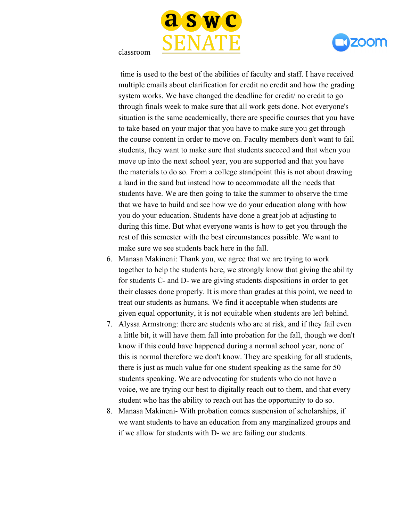





 time is used to the best of the abilities of faculty and staff. I have received multiple emails about clarification for credit no credit and how the grading system works. We have changed the deadline for credit/ no credit to go through finals week to make sure that all work gets done. Not everyone's situation is the same academically, there are specific courses that you have to take based on your major that you have to make sure you get through the course content in order to move on. Faculty members don't want to fail students, they want to make sure that students succeed and that when you move up into the next school year, you are supported and that you have the materials to do so. From a college standpoint this is not about drawing a land in the sand but instead how to accommodate all the needs that students have. We are then going to take the summer to observe the time that we have to build and see how we do your education along with how you do your education. Students have done a great job at adjusting to during this time. But what everyone wants is how to get you through the rest of this semester with the best circumstances possible. We want to make sure we see students back here in the fall.

- 6. Manasa Makineni: Thank you, we agree that we are trying to work together to help the students here, we strongly know that giving the ability for students C- and D- we are giving students dispositions in order to get their classes done properly. It is more than grades at this point, we need to treat our students as humans. We find it acceptable when students are given equal opportunity, it is not equitable when students are left behind.
- 7. Alyssa Armstrong: there are students who are at risk, and if they fail even a little bit, it will have them fall into probation for the fall, though we don't know if this could have happened during a normal school year, none of this is normal therefore we don't know. They are speaking for all students, there is just as much value for one student speaking as the same for 50 students speaking. We are advocating for students who do not have a voice, we are trying our best to digitally reach out to them, and that every student who has the ability to reach out has the opportunity to do so.
- 8. Manasa Makineni- With probation comes suspension of scholarships, if we want students to have an education from any marginalized groups and if we allow for students with D- we are failing our students.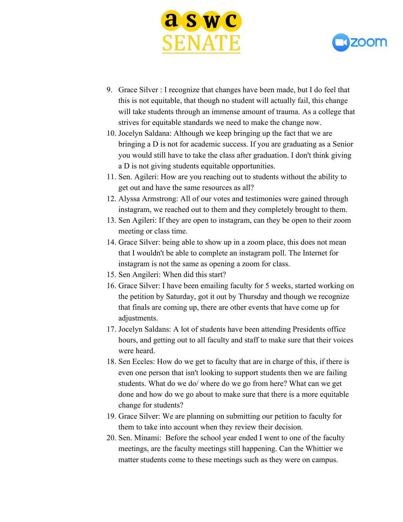



- 9. Grace Silver : I recognize that changes have been made, but I do feel that this is not equitable, that though no student will actually fail, this change will take students through an immense amount of trauma. As a college that strives for equitable standards we need to make the change now.
- 10. Jocelyn Saldana: Although we keep bringing up the fact that we are bringing a D is not for academic success. If you are graduating as a Senior you would still have to take the class after graduation. I don't think giving a D is not giving students equitable opportunities.
- 11. Sen. Agileri: How are you reaching out to students without the ability to get out and have the same resources as all?
- 12. Alyssa Armstrong: All of our votes and testimonies were gained through instagram, we reached out to them and they completely brought to them.
- 13. Sen Agileri: If they are open to instagram, can they be open to their zoom meeting or class time.
- 14. Grace Silver: being able to show up in a zoom place, this does not mean that I wouldn't be able to complete an instagram poll. The Internet for instagram is not the same as opening a zoom for class.
- 15. Sen Angileri: When did this start?
- 16. Grace Silver: I have been emailing faculty for 5 weeks, started working on the petition by Saturday, got it out by Thursday and though we recognize that finals are coming up, there are other events that have come up for adjustments.
- 17. Jocelyn Saldans: A lot of students have been attending Presidents office hours, and getting out to all faculty and staff to make sure that their voices were heard.
- 18. Sen Eccles: How do we get to faculty that are in charge of this, if there is even one person that isn't looking to support students then we are failing students. What do we do/ where do we go from here? What can we get done and how do we go about to make sure that there is a more equitable change for students?
- 19. Grace Silver: We are planning on submitting our petition to faculty for them to take into account when they review their decision.
- 20. Sen. Minami: Before the school year ended I went to one of the faculty meetings, are the faculty meetings still happening. Can the Whittier we matter students come to these meetings such as they were on campus.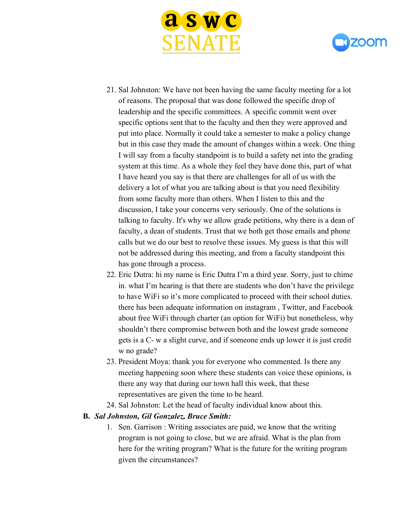



- 21. Sal Johnston: We have not been having the same faculty meeting for a lot of reasons. The proposal that was done followed the specific drop of leadership and the specific committees. A specific commit went over specific options sent that to the faculty and then they were approved and put into place. Normally it could take a semester to make a policy change but in this case they made the amount of changes within a week. One thing I will say from a faculty standpoint is to build a safety net into the grading system at this time. As a whole they feel they have done this, part of what I have heard you say is that there are challenges for all of us with the delivery a lot of what you are talking about is that you need flexibility from some faculty more than others. When I listen to this and the discussion, I take your concerns very seriously. One of the solutions is talking to faculty. It's why we allow grade petitions, why there is a dean of faculty, a dean of students. Trust that we both get those emails and phone calls but we do our best to resolve these issues. My guess is that this will not be addressed during this meeting, and from a faculty standpoint this has gone through a process.
- 22. Eric Dutra: hi my name is Eric Dutra I'm a third year. Sorry, just to chime in. what I'm hearing is that there are students who don't have the privilege to have WiFi so it's more complicated to proceed with their school duties. there has been adequate information on instagram , Twitter, and Facebook about free WiFi through charter (an option for WiFi) but nonetheless, why shouldn't there compromise between both and the lowest grade someone gets is a C- w a slight curve, and if someone ends up lower it is just credit w no grade?
- 23. President Moya: thank you for everyone who commented. Is there any meeting happening soon where these students can voice these opinions, is there any way that during our town hall this week, that these representatives are given the time to be heard.
- 24. Sal Johnston: Let the head of faculty individual know about this.

#### **B.** *Sal Johnston, Gil Gonzalez, Bruce Smith:*

1. Sen. Garrison : Writing associates are paid, we know that the writing program is not going to close, but we are afraid. What is the plan from here for the writing program? What is the future for the writing program given the circumstances?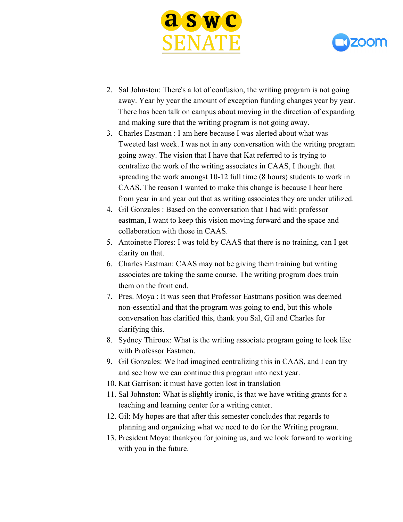



- 2. Sal Johnston: There's a lot of confusion, the writing program is not going away. Year by year the amount of exception funding changes year by year. There has been talk on campus about moving in the direction of expanding and making sure that the writing program is not going away.
- 3. Charles Eastman : I am here because I was alerted about what was Tweeted last week. I was not in any conversation with the writing program going away. The vision that I have that Kat referred to is trying to centralize the work of the writing associates in CAAS, I thought that spreading the work amongst 10-12 full time (8 hours) students to work in CAAS. The reason I wanted to make this change is because I hear here from year in and year out that as writing associates they are under utilized.
- 4. Gil Gonzales : Based on the conversation that I had with professor eastman, I want to keep this vision moving forward and the space and collaboration with those in CAAS.
- 5. Antoinette Flores: I was told by CAAS that there is no training, can I get clarity on that.
- 6. Charles Eastman: CAAS may not be giving them training but writing associates are taking the same course. The writing program does train them on the front end.
- 7. Pres. Moya : It was seen that Professor Eastmans position was deemed non-essential and that the program was going to end, but this whole conversation has clarified this, thank you Sal, Gil and Charles for clarifying this.
- 8. Sydney Thiroux: What is the writing associate program going to look like with Professor Eastmen.
- 9. Gil Gonzales: We had imagined centralizing this in CAAS, and I can try and see how we can continue this program into next year.
- 10. Kat Garrison: it must have gotten lost in translation
- 11. Sal Johnston: What is slightly ironic, is that we have writing grants for a teaching and learning center for a writing center.
- 12. Gil: My hopes are that after this semester concludes that regards to planning and organizing what we need to do for the Writing program.
- 13. President Moya: thankyou for joining us, and we look forward to working with you in the future.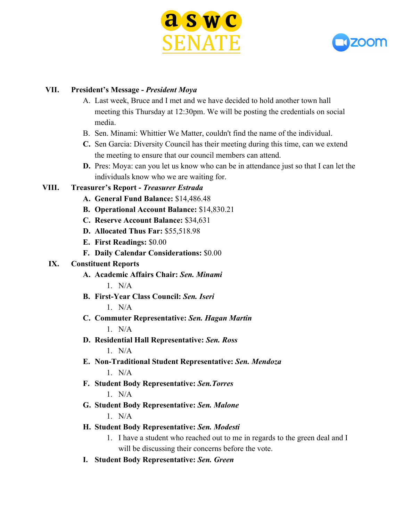



## **VII. President's Message -** *President Moya*

- A. Last week, Bruce and I met and we have decided to hold another town hall meeting this Thursday at 12:30pm. We will be posting the credentials on social media.
- B. Sen. Minami: Whittier We Matter, couldn't find the name of the individual.
- **C.** Sen Garcia: Diversity Council has their meeting during this time, can we extend the meeting to ensure that our council members can attend.
- **D.** Pres: Moya: can you let us know who can be in attendance just so that I can let the individuals know who we are waiting for.

## **VIII. Treasurer's Report -** *Treasurer Estrada*

- **A. General Fund Balance:** \$14,486.48
- **B. Operational Account Balance:** \$14,830.21
- **C. Reserve Account Balance:** \$34,631
- **D. Allocated Thus Far:** \$55,518.98
- **E. First Readings:** \$0.00
- **F. Daily Calendar Considerations:** \$0.00

#### **IX. Constituent Reports**

- **A. Academic Affairs Chair:** *Sen. Minami*  $1$  N/A
- **B. First-Year Class Council:** *Sen. Iseri*

1. N/A

- **C. Commuter Representative:** *Sen. Hagan Martin*  $1$  N/A
- **D. Residential Hall Representative:** *Sen. Ross*

1. N/A

- **E. Non-Traditional Student Representative:** *Sen. Mendoza*  $1$  N/A
- **F. Student Body Representative:** *Sen.Torres* 1. N/A
- **G. Student Body Representative:** *Sen. Malone*  $1$  N/A
- **H. Student Body Representative:** *Sen. Modesti*
	- 1. I have a student who reached out to me in regards to the green deal and I will be discussing their concerns before the vote.
- **I. Student Body Representative:** *Sen. Green*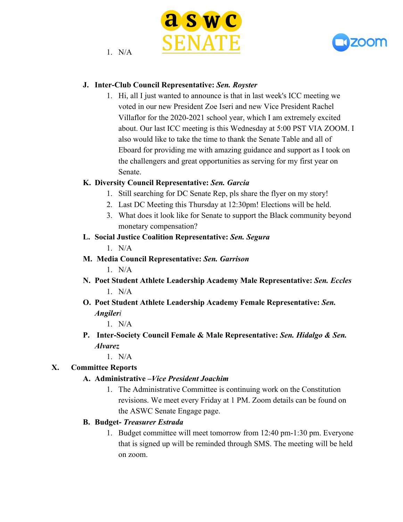

 $1$  N/A



# **J. Inter-Club Council Representative:** *Sen. Royster*

1. Hi, all I just wanted to announce is that in last week's ICC meeting we voted in our new President Zoe Iseri and new Vice President Rachel Villaflor for the 2020-2021 school year, which I am extremely excited about. Our last ICC meeting is this Wednesday at 5:00 PST VIA ZOOM. I also would like to take the time to thank the Senate Table and all of Eboard for providing me with amazing guidance and support as I took on the challengers and great opportunities as serving for my first year on Senate.

## **K. Diversity Council Representative:** *Sen. Garcia*

- 1. Still searching for DC Senate Rep, pls share the flyer on my story!
- 2. Last DC Meeting this Thursday at 12:30pm! Elections will be held.
- 3. What does it look like for Senate to support the Black community beyond monetary compensation?

## **L. Social Justice Coalition Representative:** *Sen. Segura*

 $1$  N/A

- **M. Media Council Representative:** *Sen. Garrison*  $1$  N/A
- **N. Poet Student Athlete Leadership Academy Male Representative:** *Sen. Eccles*  $1$  N/A
- **O. Poet Student Athlete Leadership Academy Female Representative:** *Sen. Angileri*

1. N/A

**P. Inter-Society Council Female & Male Representative:** *Sen. Hidalgo & Sen. Alvarez*

 $1$  N/A

# **X. Committee Reports**

# **A. Administrative –***Vice President Joachim*

1. The Administrative Committee is continuing work on the Constitution revisions. We meet every Friday at 1 PM. Zoom details can be found on the ASWC Senate Engage page.

# **B. Budget-** *Treasurer Estrada*

1. Budget committee will meet tomorrow from 12:40 pm-1:30 pm. Everyone that is signed up will be reminded through SMS. The meeting will be held on zoom.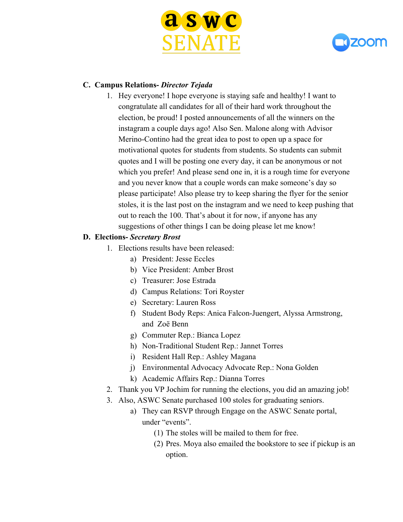



# **C. Campus Relations-** *Director Tejada*

1. Hey everyone! I hope everyone is staying safe and healthy! I want to congratulate all candidates for all of their hard work throughout the election, be proud! I posted announcements of all the winners on the instagram a couple days ago! Also Sen. Malone along with Advisor Merino-Contino had the great idea to post to open up a space for motivational quotes for students from students. So students can submit quotes and I will be posting one every day, it can be anonymous or not which you prefer! And please send one in, it is a rough time for everyone and you never know that a couple words can make someone's day so please participate! Also please try to keep sharing the flyer for the senior stoles, it is the last post on the instagram and we need to keep pushing that out to reach the 100. That's about it for now, if anyone has any suggestions of other things I can be doing please let me know!

#### **D. Elections-** *Secretary Brost*

- 1. Elections results have been released:
	- a) President: Jesse Eccles
		- b) Vice President: Amber Brost
	- c) Treasurer: Jose Estrada
	- d) Campus Relations: Tori Royster
	- e) Secretary: Lauren Ross
	- f) Student Body Reps: Anica Falcon-Juengert, Alyssa Armstrong, and Zoë Benn
	- g) Commuter Rep.: Bianca Lopez
	- h) Non-Traditional Student Rep.: Jannet Torres
	- i) Resident Hall Rep.: Ashley Magana
	- j) Environmental Advocacy Advocate Rep.: Nona Golden
	- k) Academic Affairs Rep.: Dianna Torres
- 2. Thank you VP Jochim for running the elections, you did an amazing job!
- 3. Also, ASWC Senate purchased 100 stoles for graduating seniors.
	- a) They can RSVP through Engage on the ASWC Senate portal, under "events".
		- (1) The stoles will be mailed to them for free.
		- (2) Pres. Moya also emailed the bookstore to see if pickup is an option.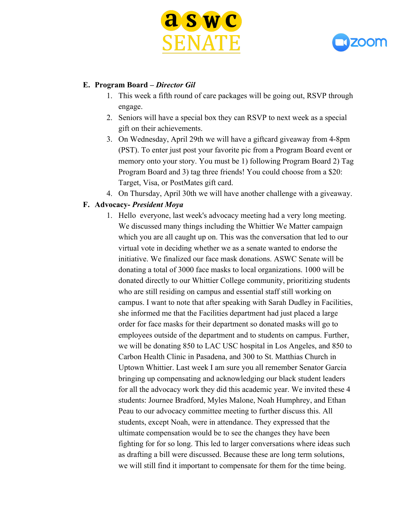



## **E. Program Board –** *Director Gil*

- 1. This week a fifth round of care packages will be going out, RSVP through engage.
- 2. Seniors will have a special box they can RSVP to next week as a special gift on their achievements.
- 3. On Wednesday, April 29th we will have a giftcard giveaway from 4-8pm (PST). To enter just post your favorite pic from a Program Board event or memory onto your story. You must be 1) following Program Board 2) Tag Program Board and 3) tag three friends! You could choose from a \$20: Target, Visa, or PostMates gift card.
- 4. On Thursday, April 30th we will have another challenge with a giveaway.

## **F. Advocacy-** *President Moya*

1. Hello everyone, last week's advocacy meeting had a very long meeting. We discussed many things including the Whittier We Matter campaign which you are all caught up on. This was the conversation that led to our virtual vote in deciding whether we as a senate wanted to endorse the initiative. We finalized our face mask donations. ASWC Senate will be donating a total of 3000 face masks to local organizations. 1000 will be donated directly to our Whittier College community, prioritizing students who are still residing on campus and essential staff still working on campus. I want to note that after speaking with Sarah Dudley in Facilities, she informed me that the Facilities department had just placed a large order for face masks for their department so donated masks will go to employees outside of the department and to students on campus. Further, we will be donating 850 to LAC USC hospital in Los Angeles, and 850 to Carbon Health Clinic in Pasadena, and 300 to St. Matthias Church in Uptown Whittier. Last week I am sure you all remember Senator Garcia bringing up compensating and acknowledging our black student leaders for all the advocacy work they did this academic year. We invited these 4 students: Journee Bradford, Myles Malone, Noah Humphrey, and Ethan Peau to our advocacy committee meeting to further discuss this. All students, except Noah, were in attendance. They expressed that the ultimate compensation would be to see the changes they have been fighting for for so long. This led to larger conversations where ideas such as drafting a bill were discussed. Because these are long term solutions, we will still find it important to compensate for them for the time being.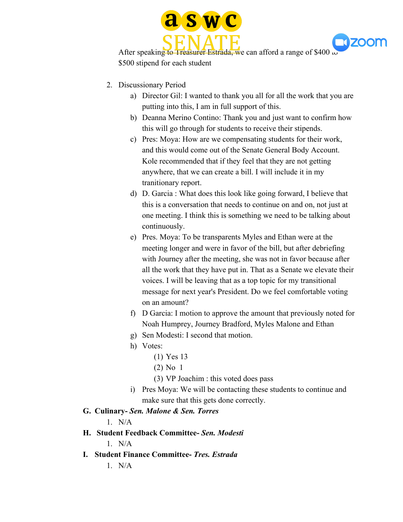



After speaking to Treasurer Estrada, we can afford a range of \$400  $\omega$ \$500 stipend for each student

- 2. Discussionary Period
	- a) Director Gil: I wanted to thank you all for all the work that you are putting into this, I am in full support of this.
	- b) Deanna Merino Contino: Thank you and just want to confirm how this will go through for students to receive their stipends.
	- c) Pres: Moya: How are we compensating students for their work, and this would come out of the Senate General Body Account. Kole recommended that if they feel that they are not getting anywhere, that we can create a bill. I will include it in my tranitionary report.
	- d) D. Garcia : What does this look like going forward, I believe that this is a conversation that needs to continue on and on, not just at one meeting. I think this is something we need to be talking about continuously.
	- e) Pres. Moya: To be transparents Myles and Ethan were at the meeting longer and were in favor of the bill, but after debriefing with Journey after the meeting, she was not in favor because after all the work that they have put in. That as a Senate we elevate their voices. I will be leaving that as a top topic for my transitional message for next year's President. Do we feel comfortable voting on an amount?
	- f) D Garcia: I motion to approve the amount that previously noted for Noah Humprey, Journey Bradford, Myles Malone and Ethan
	- g) Sen Modesti: I second that motion.
	- h) Votes:
		- (1) Yes 13
		- (2) No 1
		- (3) VP Joachim : this voted does pass
	- i) Pres Moya: We will be contacting these students to continue and make sure that this gets done correctly.

# **G. Culinary-** *Sen. Malone & Sen. Torres*

 $1$  N/A

- **H. Student Feedback Committee-** *Sen. Modesti*
	- $1$  N/A
- **I. Student Finance Committee-** *Tres. Estrada*
	- $1$  N/A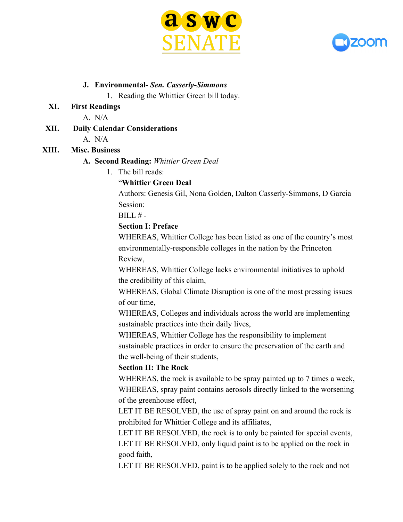



#### **J. Environmental-** *Sen. Casserly-Simmons*

1. Reading the Whittier Green bill today.

#### **XI. First Readings**

A. N/A

# **XII. Daily Calendar Considerations**

A. N/A

# **XIII. Misc. Business**

#### **A. Second Reading:** *Whittier Green Deal*

1. The bill reads:

## "**Whittier Green Deal**

Authors: Genesis Gil, Nona Golden, Dalton Casserly-Simmons, D Garcia Session:

 $BILL# -$ 

# **Section I: Preface**

WHEREAS, Whittier College has been listed as one of the country's most environmentally-responsible colleges in the nation by the Princeton Review,

WHEREAS, Whittier College lacks environmental initiatives to uphold the credibility of this claim,

WHEREAS, Global Climate Disruption is one of the most pressing issues of our time,

WHEREAS, Colleges and individuals across the world are implementing sustainable practices into their daily lives,

WHEREAS, Whittier College has the responsibility to implement sustainable practices in order to ensure the preservation of the earth and the well-being of their students,

# **Section II: The Rock**

WHEREAS, the rock is available to be spray painted up to 7 times a week, WHEREAS, spray paint contains aerosols directly linked to the worsening of the greenhouse effect,

LET IT BE RESOLVED, the use of spray paint on and around the rock is prohibited for Whittier College and its affiliates,

LET IT BE RESOLVED, the rock is to only be painted for special events, LET IT BE RESOLVED, only liquid paint is to be applied on the rock in good faith,

LET IT BE RESOLVED, paint is to be applied solely to the rock and not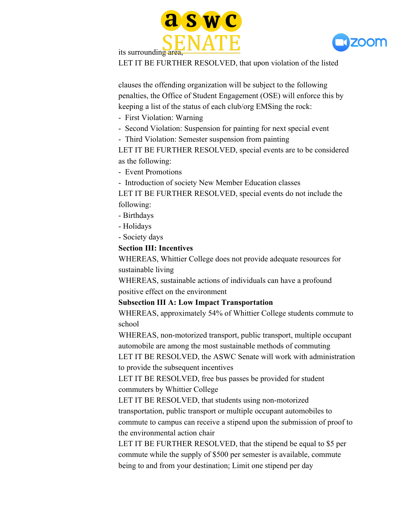



its surrounding area

LET IT BE FURTHER RESOLVED, that upon violation of the listed

clauses the offending organization will be subject to the following penalties, the Office of Student Engagement (OSE) will enforce this by keeping a list of the status of each club/org EMSing the rock:

- First Violation: Warning

- Second Violation: Suspension for painting for next special event

- Third Violation: Semester suspension from painting

LET IT BE FURTHER RESOLVED, special events are to be considered as the following:

- Event Promotions

- Introduction of society New Member Education classes

LET IT BE FURTHER RESOLVED, special events do not include the following:

- Birthdays
- Holidays
- Society days

#### **Section III: Incentives**

WHEREAS, Whittier College does not provide adequate resources for sustainable living

WHEREAS, sustainable actions of individuals can have a profound positive effect on the environment

**Subsection III A: Low Impact Transportation**

WHEREAS, approximately 54% of Whittier College students commute to school

WHEREAS, non-motorized transport, public transport, multiple occupant automobile are among the most sustainable methods of commuting

LET IT BE RESOLVED, the ASWC Senate will work with administration to provide the subsequent incentives

LET IT BE RESOLVED, free bus passes be provided for student commuters by Whittier College

LET IT BE RESOLVED, that students using non-motorized transportation, public transport or multiple occupant automobiles to commute to campus can receive a stipend upon the submission of proof to the environmental action chair

LET IT BE FURTHER RESOLVED, that the stipend be equal to \$5 per commute while the supply of \$500 per semester is available, commute being to and from your destination; Limit one stipend per day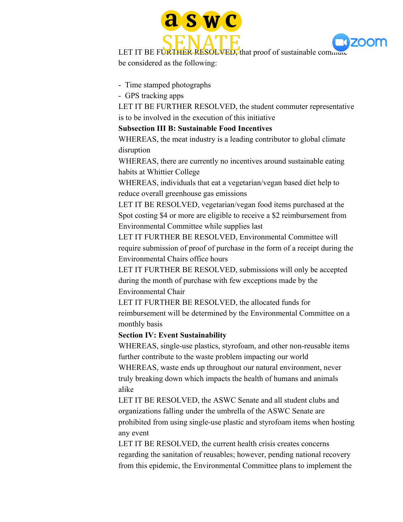



LET IT BE FURTHER RESOLVED, that proof of sustainable commute be considered as the following:

- Time stamped photographs

- GPS tracking apps

LET IT BE FURTHER RESOLVED, the student commuter representative is to be involved in the execution of this initiative

# **Subsection III B: Sustainable Food Incentives**

WHEREAS, the meat industry is a leading contributor to global climate disruption

WHEREAS, there are currently no incentives around sustainable eating habits at Whittier College

WHEREAS, individuals that eat a vegetarian/vegan based diet help to reduce overall greenhouse gas emissions

LET IT BE RESOLVED, vegetarian/vegan food items purchased at the Spot costing \$4 or more are eligible to receive a \$2 reimbursement from Environmental Committee while supplies last

LET IT FURTHER BE RESOLVED, Environmental Committee will require submission of proof of purchase in the form of a receipt during the Environmental Chairs office hours

LET IT FURTHER BE RESOLVED, submissions will only be accepted during the month of purchase with few exceptions made by the Environmental Chair

LET IT FURTHER BE RESOLVED, the allocated funds for reimbursement will be determined by the Environmental Committee on a monthly basis

**Section IV: Event Sustainability**

WHEREAS, single-use plastics, styrofoam, and other non-reusable items further contribute to the waste problem impacting our world

WHEREAS, waste ends up throughout our natural environment, never truly breaking down which impacts the health of humans and animals alike

LET IT BE RESOLVED, the ASWC Senate and all student clubs and organizations falling under the umbrella of the ASWC Senate are prohibited from using single-use plastic and styrofoam items when hosting any event

LET IT BE RESOLVED, the current health crisis creates concerns regarding the sanitation of reusables; however, pending national recovery from this epidemic, the Environmental Committee plans to implement the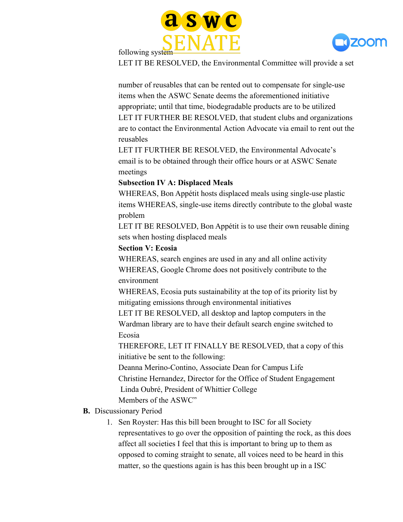



following system

LET IT BE RESOLVED, the Environmental Committee will provide a set

number of reusables that can be rented out to compensate for single-use items when the ASWC Senate deems the aforementioned initiative appropriate; until that time, biodegradable products are to be utilized LET IT FURTHER BE RESOLVED, that student clubs and organizations are to contact the Environmental Action Advocate via email to rent out the reusables

LET IT FURTHER BE RESOLVED, the Environmental Advocate's email is to be obtained through their office hours or at ASWC Senate meetings

#### **Subsection IV A: Displaced Meals**

WHEREAS, Bon Appétit hosts displaced meals using single-use plastic items WHEREAS, single-use items directly contribute to the global waste problem

LET IT BE RESOLVED, Bon Appétit is to use their own reusable dining sets when hosting displaced meals

## **Section V: Ecosia**

WHEREAS, search engines are used in any and all online activity WHEREAS, Google Chrome does not positively contribute to the environment

WHEREAS, Ecosia puts sustainability at the top of its priority list by mitigating emissions through environmental initiatives

LET IT BE RESOLVED, all desktop and laptop computers in the Wardman library are to have their default search engine switched to Ecosia

THEREFORE, LET IT FINALLY BE RESOLVED, that a copy of this initiative be sent to the following:

Deanna Merino-Contino, Associate Dean for Campus Life Christine Hernandez, Director for the Office of Student Engagement Linda Oubré, President of Whittier College

Members of the ASWC"

# **B.** Discussionary Period

1. Sen Royster: Has this bill been brought to ISC for all Society representatives to go over the opposition of painting the rock, as this does affect all societies I feel that this is important to bring up to them as opposed to coming straight to senate, all voices need to be heard in this matter, so the questions again is has this been brought up in a ISC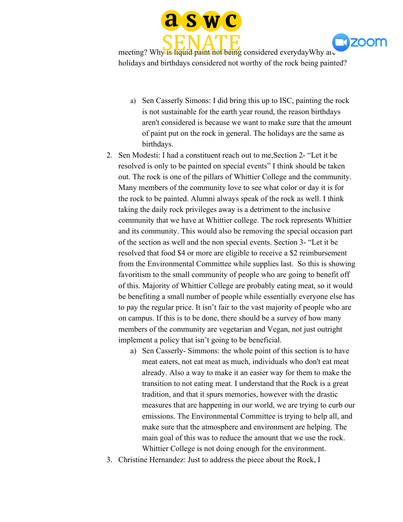

**1170011** 

meeting? Why is liquid paint not being considered everydayWhy are holidays and birthdays considered not worthy of the rock being painted?

- a) Sen Casserly Simons: I did bring this up to ISC, painting the rock is not sustainable for the earth year round, the reason birthdays aren't considered is because we want to make sure that the amount of paint put on the rock in general. The holidays are the same as birthdays.
- 2. Sen Modesti: I had a constituent reach out to me,Section 2- "Let it be resolved is only to be painted on special events" I think should be taken out. The rock is one of the pillars of Whittier College and the community. Many members of the community love to see what color or day it is for the rock to be painted. Alumni always speak of the rock as well. I think taking the daily rock privileges away is a detriment to the inclusive community that we have at Whittier college. The rock represents Whittier and its community. This would also be removing the special occasion part of the section as well and the non special events. Section 3- "Let it be resolved that food \$4 or more are eligible to receive a \$2 reimbursement from the Environmental Committee while supplies last. So this is showing favoritism to the small community of people who are going to benefit off of this. Majority of Whittier College are probably eating meat, so it would be benefiting a small number of people while essentially everyone else has to pay the regular price. It isn't fair to the vast majority of people who are on campus. If this is to be done, there should be a survey of how many members of the community are vegetarian and Vegan, not just outright implement a policy that isn't going to be beneficial.
	- a) Sen Casserly- Simmons: the whole point of this section is to have meat eaters, not eat meat as much, individuals who don't eat meat already. Also a way to make it an easier way for them to make the transition to not eating meat. I understand that the Rock is a great tradition, and that it spurs memories, however with the drastic measures that are happening in our world, we are trying to curb our emissions. The Environmental Committee is trying to help all, and make sure that the atmosphere and environment are helping. The main goal of this was to reduce the amount that we use the rock. Whittier College is not doing enough for the environment.
- 3. Christine Hernandez: Just to address the piece about the Rock, I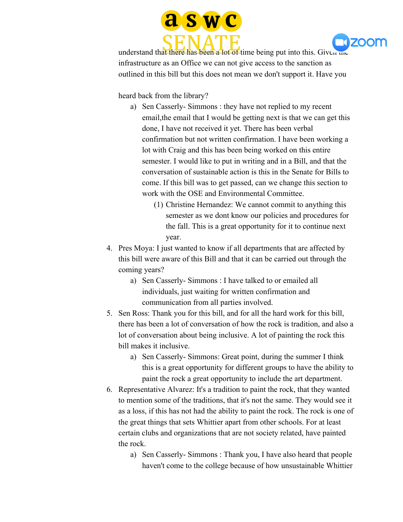



understand that there has been a lot of time being put into this. Given the infrastructure as an Office we can not give access to the sanction as outlined in this bill but this does not mean we don't support it. Have you

heard back from the library?

- a) Sen Casserly- Simmons : they have not replied to my recent email,the email that I would be getting next is that we can get this done, I have not received it yet. There has been verbal confirmation but not written confirmation. I have been working a lot with Craig and this has been being worked on this entire semester. I would like to put in writing and in a Bill, and that the conversation of sustainable action is this in the Senate for Bills to come. If this bill was to get passed, can we change this section to work with the OSE and Environmental Committee.
	- (1) Christine Hernandez: We cannot commit to anything this semester as we dont know our policies and procedures for the fall. This is a great opportunity for it to continue next year.
- 4. Pres Moya: I just wanted to know if all departments that are affected by this bill were aware of this Bill and that it can be carried out through the coming years?
	- a) Sen Casserly- Simmons : I have talked to or emailed all individuals, just waiting for written confirmation and communication from all parties involved.
- 5. Sen Ross: Thank you for this bill, and for all the hard work for this bill, there has been a lot of conversation of how the rock is tradition, and also a lot of conversation about being inclusive. A lot of painting the rock this bill makes it inclusive.
	- a) Sen Casserly- Simmons: Great point, during the summer I think this is a great opportunity for different groups to have the ability to paint the rock a great opportunity to include the art department.
- 6. Representative Alvarez: It's a tradition to paint the rock, that they wanted to mention some of the traditions, that it's not the same. They would see it as a loss, if this has not had the ability to paint the rock. The rock is one of the great things that sets Whittier apart from other schools. For at least certain clubs and organizations that are not society related, have painted the rock.
	- a) Sen Casserly- Simmons : Thank you, I have also heard that people haven't come to the college because of how unsustainable Whittier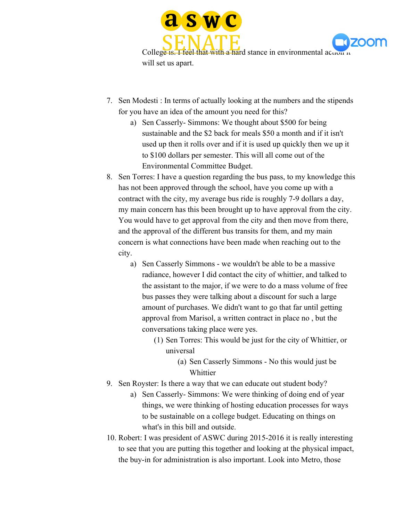



College is. I feel that with a hard stance in environmental acuon it will set us apart.

- 7. Sen Modesti : In terms of actually looking at the numbers and the stipends for you have an idea of the amount you need for this?
	- a) Sen Casserly- Simmons: We thought about \$500 for being sustainable and the \$2 back for meals \$50 a month and if it isn't used up then it rolls over and if it is used up quickly then we up it to \$100 dollars per semester. This will all come out of the Environmental Committee Budget.
- 8. Sen Torres: I have a question regarding the bus pass, to my knowledge this has not been approved through the school, have you come up with a contract with the city, my average bus ride is roughly 7-9 dollars a day, my main concern has this been brought up to have approval from the city. You would have to get approval from the city and then move from there, and the approval of the different bus transits for them, and my main concern is what connections have been made when reaching out to the city.
	- a) Sen Casserly Simmons we wouldn't be able to be a massive radiance, however I did contact the city of whittier, and talked to the assistant to the major, if we were to do a mass volume of free bus passes they were talking about a discount for such a large amount of purchases. We didn't want to go that far until getting approval from Marisol, a written contract in place no , but the conversations taking place were yes.
		- (1) Sen Torres: This would be just for the city of Whittier, or universal
			- (a) Sen Casserly Simmons No this would just be Whittier
- 9. Sen Royster: Is there a way that we can educate out student body?
	- a) Sen Casserly- Simmons: We were thinking of doing end of year things, we were thinking of hosting education processes for ways to be sustainable on a college budget. Educating on things on what's in this bill and outside.
- 10. Robert: I was president of ASWC during 2015-2016 it is really interesting to see that you are putting this together and looking at the physical impact, the buy-in for administration is also important. Look into Metro, those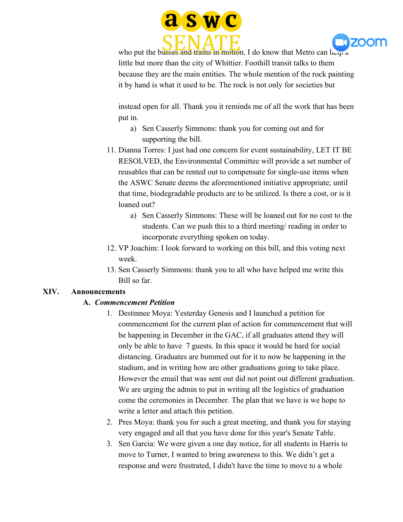



who put the busses and trains in motion. I do know that Metro can help a little but more than the city of Whittier. Foothill transit talks to them because they are the main entities. The whole mention of the rock painting it by hand is what it used to be. The rock is not only for societies but

instead open for all. Thank you it reminds me of all the work that has been put in.

- a) Sen Casserly Simmons: thank you for coming out and for supporting the bill.
- 11. Dianna Torres: I just had one concern for event sustainability, LET IT BE RESOLVED, the Environmental Committee will provide a set number of reusables that can be rented out to compensate for single-use items when the ASWC Senate deems the aforementioned initiative appropriate; until that time, biodegradable products are to be utilized. Is there a cost, or is it loaned out?
	- a) Sen Casserly Simmons: These will be loaned out for no cost to the students. Can we push this to a third meeting/ reading in order to incorporate everything spoken on today.
- 12. VP Joachim: I look forward to working on this bill, and this voting next week.
- 13. Sen Casserly Simmons: thank you to all who have helped me write this Bill so far.

#### **XIV. Announcements**

# **A.** *Commencement Petition*

- 1. Destinnee Moya: Yesterday Genesis and I launched a petition for commencement for the current plan of action for commencement that will be happening in December in the GAC, if all graduates attend they will only be able to have 7 guests. In this space it would be hard for social distancing. Graduates are bummed out for it to now be happening in the stadium, and in writing how are other graduations going to take place. However the email that was sent out did not point out different graduation. We are urging the admin to put in writing all the logistics of graduation come the ceremonies in December. The plan that we have is we hope to write a letter and attach this petition.
- 2. Pres Moya: thank you for such a great meeting, and thank you for staying very engaged and all that you have done for this year's Senate Table.
- 3. Sen Garcia: We were given a one day notice, for all students in Harris to move to Turner, I wanted to bring awareness to this. We didn't get a response and were frustrated, I didn't have the time to move to a whole